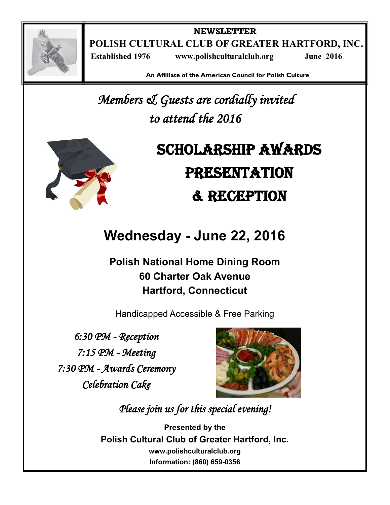

**NEWSLETTER POLISH CULTURAL CLUB OF GREATER HARTFORD, INC. Established 1976 www.polishculturalclub.org June 2016**

**An Affiliate of the American Council for Polish Culture**

*Members & Guests are cordially invited to attend the 2016* 



# Scholarship Awards **PRESENTATION** & Reception

## **Wednesday - June 22, 2016**

**Polish National Home Dining Room 60 Charter Oak Avenue Hartford, Connecticut** 

Handicapped Accessible & Free Parking

*6:30 PM - Reception 7:15 PM - Meeting 7:30 PM - Awards Ceremony Celebration Cake* 



*Please join us for this special evening!* 

**Presented by the Polish Cultural Club of Greater Hartford, Inc. www.polishculturalclub.org Information: (860) 659-0356**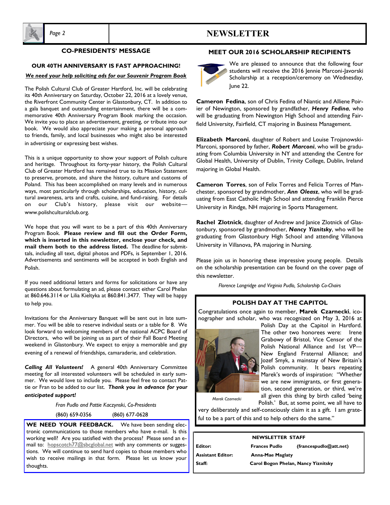## *Page 2* **NEWSLETTER**



## **CO-PRESIDENTS' MESSAGE**

#### **OUR 40TH ANNIVERSARY IS FAST APPROACHING!**

#### *We need your help soliciting ads for our Souvenir Program Book*

The Polish Cultural Club of Greater Hartford, Inc. will be celebrating its 40th Anniversary on Saturday, October 22, 2016 at a lovely venue, the Riverfront Community Center in Glastonbury, CT. In addition to a gala banquet and outstanding entertainment, there will be a commemorative 40th Anniversary Program Book marking the occasion. We invite you to place an advertisement, greeting, or tribute into our book. We would also appreciate your making a personal approach to friends, family, and local businesses who might also be interested in advertising or expressing best wishes.

This is a unique opportunity to show your support of Polish culture and heritage. Throughout its forty-year history, the Polish Cultural Club of Greater Hartford has remained true to its Mission Statement to preserve, promote, and share the history, culture and customs of Poland. This has been accomplished on many levels and in numerous ways, most particularly through scholarships, education, history, cultural awareness, arts and crafts, cuisine, and fund-raising. For details on our Club's history, please visit our website www.polishculturalclub.org.

We hope that you will want to be a part of this 40th Anniversary Program Book. **Please review and fill out the Order Form, which is inserted in this newsletter, enclose your check, and mail them both to the address listed.** The deadline for submittals, including all text, digital photos and PDFs, is September 1, 2016. Advertisements and sentiments will be accepted in both English and Polish.

If you need additional letters and forms for solicitations or have any questions about formulating an ad, please contact either Carol Phelan at 860.646.3114 or Lilia Kieltyka at 860.841.3477. They will be happy to help you.

Invitations for the Anniversary Banquet will be sent out in late summer. You will be able to reserve individual seats or a table for 8. We look forward to welcoming members of the national ACPC Board of Directors, who will be joining us as part of their Fall Board Meeting weekend in Glastonbury. We expect to enjoy a memorable and gay evening of a renewal of friendships, camaraderie, and celebration.

*Calling All Volunteers!*A general 40th Anniversary Committee meeting for all interested volunteers will be scheduled in early summer. We would love to include you. Please feel free to contact Pattie or Fran to be added to our list. *Thank you in advance for your anticipated support!*

*Fran Pudlo and Pattie Kaczynski*, *Co-Presidents*

(860) 659-0356 (860) 677-0628

**WE NEED YOUR FEEDBACK.** We have been sending electronic communications to those members who have e-mail. Is this working well? Are you satisfied with the process? Please send an email to: hopscotch77@sbcglobal.net with any comments or suggestions. We will continue to send hard copies to those members who wish to receive mailings in that form. Please let us know your thoughts.

## **MEET OUR 2016 SCHOLARSHIP RECIPIENTS**



We are pleased to announce that the following four students will receive the 2016 Jennie Marconi-Javorski Scholarship at a reception/ceremony on Wednesday, June 22.

**Cameron Fedina**, son of Chris Fedina of Niantic and Alliene Poirier of Newington, sponsored by grandfather, *Henry Fedina*, who will be graduating from Newington High School and attending Fairfield University, Fairfield, CT majoring in Business Management.

**Elizabeth Marconi**, daughter of Robert and Louise Trojanowski-Marconi, sponsored by father, *Robert Marconi*, who will be graduating from Columbia University in NY and attending the Centre for Global Health, University of Dublin, Trinity College, Dublin, Ireland majoring in Global Health.

**Cameron Torres**, son of Felix Torres and Felicia Torres of Manchester, sponsored by grandmother, *Ann Oleasz*, who will be graduating from East Catholic High School and attending Franklin Pierce University in Rindge, NH majoring in Sports Management.

**Rachel Zlotnick**, daughter of Andrew and Janice Zlotnick of Glastonbury, sponsored by grandmother, *Nancy Yiznitsky*, who will be graduating from Glastonbury High School and attending Villanova University in Villanova, PA majoring in Nursing.

Please join us in honoring these impressive young people. Details on the scholarship presentation can be found on the cover page of this newsletter.

*Florence Langridge and Virginia Pudlo, Scholarship Co-Chairs*

## **POLISH DAY AT THE CAPITOL**

Congratulations once again to member, **Marek Czarnecki**, iconographer and scholar, who was recognized on May 3, 2016 at



Polish Day at the Capitol in Hartford. The other two honorees were: Irene Grabowy of Bristol, Vice Censor of the Polish National Alliance and 1st VP— New England Fraternal Alliance; and Jozef Smyk, a mainstay of New Britain's Polish community. It bears repeating Marek's words of inspiration: "Whether we are new immigrants, or first generation, second generation, or third, we're all given this thing by birth called 'being Polish.' But, at some point, we all have to

*Marek Czarnecki*

very deliberately and self-consciously claim it as a gift. I am grateful to be a part of this and to help others do the same."

| <b>NEWSLETTER STAFF</b>  |                                     |                        |  |
|--------------------------|-------------------------------------|------------------------|--|
| Editor:                  | <b>Frances Pudlo</b>                | (francespudlo@att.net) |  |
| <b>Assistant Editor:</b> | <b>Anna-Mae Maglaty</b>             |                        |  |
| Staff:                   | Carol Bogon Phelan, Nancy Yiznitsky |                        |  |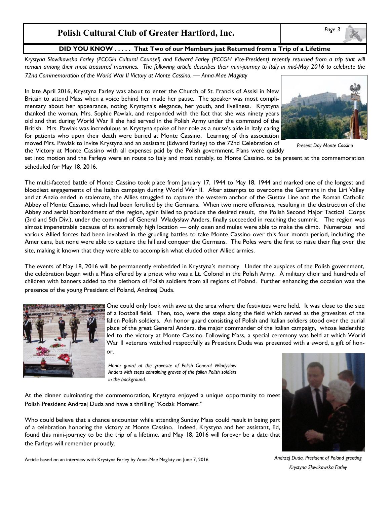## **Polish Cultural Club of Greater Hartford, Inc.**

## **DID YOU KNOW . . . . . That Two of our Members just Returned from a Trip of a Lifetime**

*Krystyna Słowikowska Farley (PCCGH Cultural Counsel) and Edward Farley (PCCGH Vice-President) recently returned from a trip that will remain among their most treasured memories. The following article describes their mini-journey to Italy in mid-May 2016 to celebrate the 72nd Commemoration of the World War II Victory at Monte Cassino. — Anna-Mae Maglaty*

In late April 2016, Krystyna Farley was about to enter the Church of St. Francis of Assisi in New Britain to attend Mass when a voice behind her made her pause. The speaker was most complimentary about her appearance, noting Krystyna's elegance, her youth, and liveliness. Krystyna thanked the woman, Mrs. Sophie Pawlak, and responded with the fact that she was ninety years old and that during World War II she had served in the Polish Army under the command of the British. Mrs. Pawlak was incredulous as Krystyna spoke of her role as a nurse's aide in Italy caring for patients who upon their death were buried at Monte Cassino. Learning of this association moved Mrs. Pawlak to invite Krystyna and an assistant (Edward Farley) to the 72nd Celebration of the Victory at Monte Cassino with all expenses paid by the Polish government. Plans were quickly



*Present Day Monte Cassino*

set into motion and the Farleys were en route to Italy and most notably, to Monte Cassino, to be present at the commemoration scheduled for May 18, 2016.

The multi-faceted battle of Monte Cassino took place from January 17, 1944 to May 18, 1944 and marked one of the longest and bloodiest engagements of the Italian campaign during World War II. After attempts to overcome the Germans in the Liri Valley and at Anzio ended in stalemate, the Allies struggled to capture the western anchor of the Gustav Line and the Roman Catholic Abbey of Monte Cassino, which had been fortified by the Germans. When two more offensives, resulting in the destruction of the Abbey and aerial bombardment of the region, again failed to produce the desired result, the Polish Second Major Tactical Corps (3rd and 5th Div.), under the command of General Władysław Anders, finally succeeded in reaching the summit. The region was almost impenetrable because of its extremely high location — only oxen and mules were able to make the climb. Numerous and various Allied forces had been involved in the grueling battles to take Monte Cassino over this four month period, including the Americans, but none were able to capture the hill and conquer the Germans. The Poles were the first to raise their flag over the site, making it known that they were able to accomplish what eluded other Allied armies.

The events of May 18, 2016 will be permanently embedded in Krystyna's memory. Under the auspices of the Polish government, the celebration began with a Mass offered by a priest who was a Lt. Colonel in the Polish Army. A military choir and hundreds of children with banners added to the plethora of Polish soldiers from all regions of Poland. Further enhancing the occasion was the presence of the young President of Poland, Andrzej Duda.



One could only look with awe at the area where the festivities were held. It was close to the size of a football field. Then, too, were the steps along the field which served as the gravesites of the fallen Polish soldiers. An honor guard consisting of Polish and Italian soldiers stood over the burial place of the great General Anders, the major commander of the Italian campaign, whose leadership led to the victory at Monte Cassino. Following Mass, a special ceremony was held at which World War II veterans watched respectfully as President Duda was presented with a sword, a gift of honor.

*Honor guard at the gravesite of Polish General Władysław Anders with steps containing graves of the fallen Polish soldiers in the background.*

At the dinner culminating the commemoration, Krystyna enjoyed a unique opportunity to meet Polish President Andrzej Duda and have a thrilling "Kodak Moment."

Who could believe that a chance encounter while attending Sunday Mass could result in being part of a celebration honoring the victory at Monte Cassino. Indeed, Krystyna and her assistant, Ed, found this mini-journey to be the trip of a lifetime, and May 18, 2016 will forever be a date that the Farleys will remember proudly.



Article based on an interview with Krystyna Farley by Anna-Mae Maglaty on June 7, 2016

*Andrzej Duda, President of Poland greeting Krystyna Słowikowska Farley*